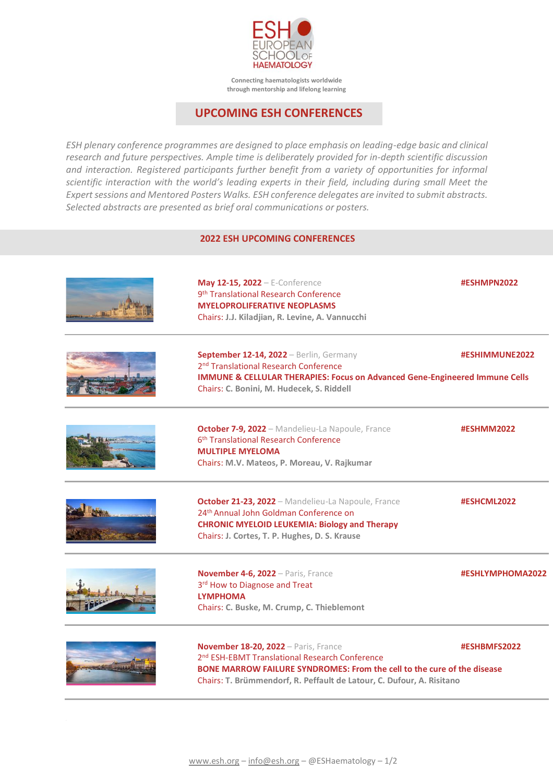

**Connecting haematologists worldwide through mentorship and lifelong learning**

## **UPCOMING ESH CONFERENCES**

*ESH plenary conference programmes are designed to place emphasis on leading-edge basic and clinical research and future perspectives. Ample time is deliberately provided for in-depth scientific discussion and interaction. Registered participants further benefit from a variety of opportunities for informal scientific interaction with the world's leading experts in their field, including during small Meet the Expert sessions and Mentored Posters Walks. ESH conference delegates are invited to submit abstracts. Selected abstracts are presented as brief oral communications or posters.*

## **2022 ESH UPCOMING CONFERENCES**

| May 12-15, 2022 - E-Conference<br>9 <sup>th</sup> Translational Research Conference<br><b>MYELOPROLIFERATIVE NEOPLASMS</b><br>Chairs: J.J. Kiladjian, R. Levine, A. Vannucchi                                                                          | #ESHMPN2022      |
|--------------------------------------------------------------------------------------------------------------------------------------------------------------------------------------------------------------------------------------------------------|------------------|
| September 12-14, 2022 - Berlin, Germany<br>2 <sup>nd</sup> Translational Research Conference<br><b>IMMUNE &amp; CELLULAR THERAPIES: Focus on Advanced Gene-Engineered Immune Cells</b><br>Chairs: C. Bonini, M. Hudecek, S. Riddell                    | #ESHIMMUNE2022   |
| October 7-9, 2022 - Mandelieu-La Napoule, France<br>6 <sup>th</sup> Translational Research Conference<br><b>MULTIPLE MYELOMA</b><br>Chairs: M.V. Mateos, P. Moreau, V. Rajkumar                                                                        | #ESHMM2022       |
| October 21-23, 2022 - Mandelieu-La Napoule, France<br>24 <sup>th</sup> Annual John Goldman Conference on<br><b>CHRONIC MYELOID LEUKEMIA: Biology and Therapy</b><br>Chairs: J. Cortes, T. P. Hughes, D. S. Krause                                      | #ESHCML2022      |
| November 4-6, 2022 - Paris, France<br>3rd How to Diagnose and Treat<br><b>LYMPHOMA</b><br>Chairs: C. Buske, M. Crump, C. Thieblemont                                                                                                                   | #ESHLYMPHOMA2022 |
| November 18-20, 2022 - Paris, France<br>2 <sup>nd</sup> ESH-EBMT Translational Research Conference<br>BONE MARROW FAILURE SYNDROMES: From the cell to the cure of the disease<br>Chairs: T. Brümmendorf, R. Peffault de Latour, C. Dufour, A. Risitano | #ESHBMFS2022     |